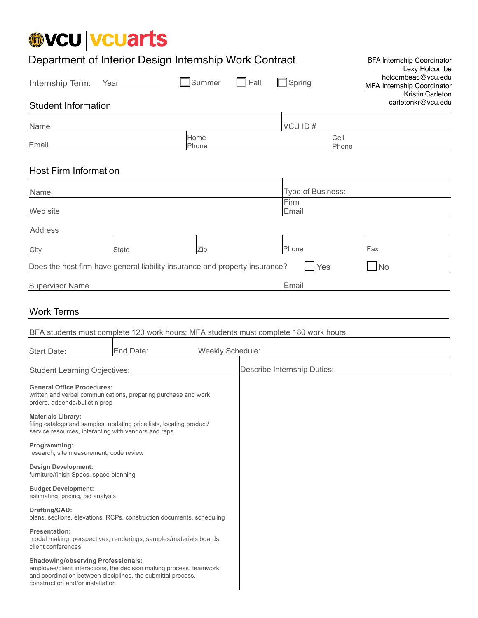# @VCU | VCUarts

| Department of Interior Design Internship Work Contract                                                                                                                                                               |                                                                                                                                                                                                                                 |               |                  |      |                             | <b>BFA Internship Coordinator</b><br>Lexy Holcombe |                                                                      |
|----------------------------------------------------------------------------------------------------------------------------------------------------------------------------------------------------------------------|---------------------------------------------------------------------------------------------------------------------------------------------------------------------------------------------------------------------------------|---------------|------------------|------|-----------------------------|----------------------------------------------------|----------------------------------------------------------------------|
| Internship Term:                                                                                                                                                                                                     | Year and the material of the state of the state of the state of the state of the state of the state of the state of the state of the state of the state of the state of the state of the state of the state of the state of the | Summer        |                  | Fall | $\Box$ Spring               |                                                    | holcombeac@vcu.edu<br>MFA Internship Coordinator<br>Kristin Carleton |
| <b>Student Information</b>                                                                                                                                                                                           |                                                                                                                                                                                                                                 |               |                  |      |                             |                                                    | carletonkr@vcu.edu                                                   |
| Name                                                                                                                                                                                                                 |                                                                                                                                                                                                                                 |               |                  |      | VCU ID#                     |                                                    |                                                                      |
| Email                                                                                                                                                                                                                |                                                                                                                                                                                                                                 | Home<br>Phone |                  |      |                             | Cell<br>Phone                                      |                                                                      |
| <b>Host Firm Information</b>                                                                                                                                                                                         |                                                                                                                                                                                                                                 |               |                  |      |                             |                                                    |                                                                      |
| Name                                                                                                                                                                                                                 |                                                                                                                                                                                                                                 |               |                  |      |                             | Type of Business:                                  |                                                                      |
| Web site                                                                                                                                                                                                             |                                                                                                                                                                                                                                 |               |                  |      | Firm<br>Email               |                                                    |                                                                      |
| Address                                                                                                                                                                                                              |                                                                                                                                                                                                                                 |               |                  |      |                             |                                                    |                                                                      |
| City                                                                                                                                                                                                                 | <b>State</b>                                                                                                                                                                                                                    | Zip           |                  |      | Phone                       |                                                    | Fax                                                                  |
| Does the host firm have general liability insurance and property insurance?                                                                                                                                          |                                                                                                                                                                                                                                 |               |                  |      |                             | Yes                                                | $\Box$ No                                                            |
| <b>Supervisor Name</b>                                                                                                                                                                                               |                                                                                                                                                                                                                                 |               |                  |      | Email                       |                                                    |                                                                      |
| <b>Work Terms</b>                                                                                                                                                                                                    |                                                                                                                                                                                                                                 |               |                  |      |                             |                                                    |                                                                      |
| BFA students must complete 120 work hours; MFA students must complete 180 work hours.                                                                                                                                |                                                                                                                                                                                                                                 |               |                  |      |                             |                                                    |                                                                      |
| <b>Start Date:</b>                                                                                                                                                                                                   | End Date:                                                                                                                                                                                                                       |               | Weekly Schedule: |      |                             |                                                    |                                                                      |
| <b>Student Learning Objectives:</b>                                                                                                                                                                                  |                                                                                                                                                                                                                                 |               |                  |      | Describe Internship Duties: |                                                    |                                                                      |
| <b>General Office Procedures:</b><br>written and verbal communications, preparing purchase and work<br>orders, addenda/bulletin prep                                                                                 |                                                                                                                                                                                                                                 |               |                  |      |                             |                                                    |                                                                      |
| <b>Materials Library:</b><br>filing catalogs and samples, updating price lists, locating product/<br>service resources, interacting with vendors and reps                                                            |                                                                                                                                                                                                                                 |               |                  |      |                             |                                                    |                                                                      |
| Programming:<br>research, site measurement, code review                                                                                                                                                              |                                                                                                                                                                                                                                 |               |                  |      |                             |                                                    |                                                                      |
| <b>Design Development:</b><br>furniture/finish Specs, space planning                                                                                                                                                 |                                                                                                                                                                                                                                 |               |                  |      |                             |                                                    |                                                                      |
| <b>Budget Development:</b><br>estimating, pricing, bid analysis                                                                                                                                                      |                                                                                                                                                                                                                                 |               |                  |      |                             |                                                    |                                                                      |
| Drafting/CAD:<br>plans, sections, elevations, RCPs, construction documents, scheduling                                                                                                                               |                                                                                                                                                                                                                                 |               |                  |      |                             |                                                    |                                                                      |
| <b>Presentation:</b><br>model making, perspectives, renderings, samples/materials boards,<br>client conferences                                                                                                      |                                                                                                                                                                                                                                 |               |                  |      |                             |                                                    |                                                                      |
| <b>Shadowing/observing Professionals:</b><br>employee/client interactions, the decision making process, teamwork<br>and coordination between disciplines, the submittal process,<br>construction and/or installation |                                                                                                                                                                                                                                 |               |                  |      |                             |                                                    |                                                                      |